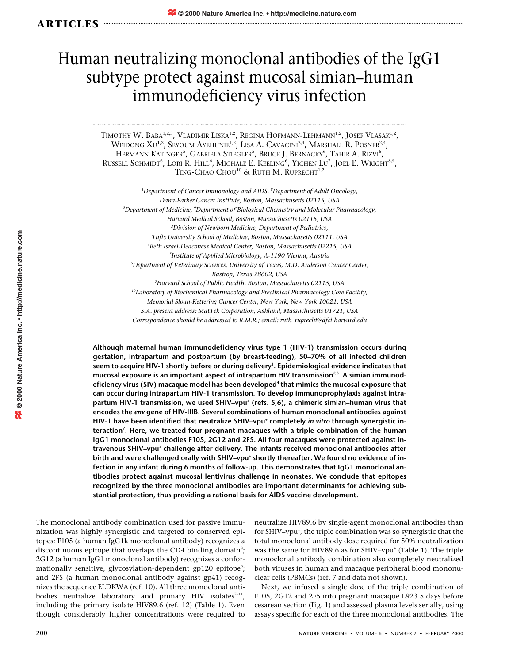## Human neutralizing monoclonal antibodies of the IgG1 subtype protect against mucosal simian–human immunodeficiency virus infection

TIMOTHY W. BABA<sup>1,2,3</sup>, VLADIMIR LISKA<sup>1,2</sup>, REGINA HOFMANN-LEHMANN<sup>1,2</sup>, JOSEF VLASAK<sup>1,2</sup>, WEIDONG  $XU^{1,2}$ , SEYOUM AYEHUNIE<sup>1,2</sup>, LISA A. CAVACINI<sup>2,4</sup>, MARSHALL R. POSNER<sup>2,4</sup>, HERMANN KATINGER<sup>5</sup>, GABRIELA STIEGLER<sup>5</sup>, BRUCE J. BERNACKY<sup>6</sup>, TAHIR A. RIZVI<sup>6</sup>, RUSSELL SCHMIDT<sup>6</sup>, LORI R. HILL<sup>6</sup>, MICHALE E. KEELING<sup>6</sup>, YICHEN LU<sup>7</sup>, JOEL E. WRIGHT<sup>8,9</sup>, TING-CHAO CHOU<sup>10</sup> & RUTH M. RUPRECHT<sup>1,2</sup>

*1 Department of Cancer Immonology and AIDS, 8 Department of Adult Oncology, Dana-Farber Cancer Institute, Boston, Massachusetts 02115, USA 2 Department of Medicine, 9 Department of Biological Chemistry and Molecular Pharmacology, Harvard Medical School, Boston, Massachusetts 02115, USA 3 Division of Newborn Medicine, Department of Pediatrics, Tufts University School of Medicine, Boston, Massachusetts 02111, USA 4 Beth Israel-Deaconess Medical Center, Boston, Massachusetts 02215, USA 5 Institute of Applied Microbiology, A-1190 Vienna, Austria 6 Department of Veterinary Sciences, University of Texas, M.D. Anderson Cancer Center, Bastrop, Texas 78602, USA 7 Harvard School of Public Health, Boston, Massachusetts 02115, USA 10Laboratory of Biochemical Pharmacology and Preclinical Pharmacology Core Facility, Memorial Sloan-Kettering Cancer Center, New York, New York 10021, USA*

*S.A. present address: MatTek Corporation, Ashland, Massachusetts 01721, USA Correspondence should be addressed to R.M.R.; email: ruth\_ruprecht@dfci.harvard.edu*

**Although maternal human immunodeficiency virus type 1 (HIV-1) transmission occurs during gestation, intrapartum and postpartum (by breast-feeding), 50–70% of all infected children seem to acquire HIV-1 shortly before or during delivery1 . Epidemiological evidence indicates that** mucosal exposure is an important aspect of intrapartum HIV transmission<sup>2,3</sup>. A simian immunod**eficiency virus (SIV) macaque model has been developed4 that mimics the mucosal exposure that can occur during intrapartum HIV-1 transmission. To develop immunoprophylaxis against intra**partum HIV-1 transmission, we used SHIV-vpu<sup>+</sup> (refs. 5,6), a chimeric simian-human virus that **encodes the** *env* **gene of HIV-IIIB. Several combinations of human monoclonal antibodies against** HIV-1 have been identified that neutralize SHIV-vpu<sup>+</sup> completely *in vitro* through synergistic in**teraction7 . Here, we treated four pregnant macaques with a triple combination of the human IgG1 monoclonal antibodies F105, 2G12 and 2F5. All four macaques were protected against intravenous SHIV–vpu+ challenge after delivery. The infants received monoclonal antibodies after** birth and were challenged orally with SHIV-vpu<sup>+</sup> shortly thereafter. We found no evidence of in**fection in any infant during 6 months of follow-up. This demonstrates that IgG1 monoclonal antibodies protect against mucosal lentivirus challenge in neonates. We conclude that epitopes recognized by the three monoclonal antibodies are important determinants for achieving substantial protection, thus providing a rational basis for AIDS vaccine development.**

The monoclonal antibody combination used for passive immunization was highly synergistic and targeted to conserved epitopes: F105 (a human IgG1k monoclonal antibody) recognizes a discontinuous epitope that overlaps the CD4 binding domain<sup>8</sup>; 2G12 (a human IgG1 monoclonal antibody) recognizes a conformationally sensitive, glycosylation-dependent gp120 epitope<sup>9</sup>; and 2F5 (a human monoclonal antibody against gp41) recognizes the sequence ELDKWA (ref. 10). All three monoclonal antibodies neutralize laboratory and primary HIV isolates<sup> $7-11$ </sup>, including the primary isolate HIV89.6 (ref. 12) (Table 1). Even though considerably higher concentrations were required to

neutralize HIV89.6 by single-agent monoclonal antibodies than for SHIV-vpu<sup>+</sup>, the triple combination was so synergistic that the total monoclonal antibody dose required for 50% neutralization was the same for HIV89.6 as for SHIV–vpu<sup>+</sup> (Table 1). The triple monoclonal antibody combination also completely neutralized both viruses in human and macaque peripheral blood mononuclear cells (PBMCs) (ref. 7 and data not shown).

Next, we infused a single dose of the triple combination of F105, 2G12 and 2F5 into pregnant macaque L923 5 days before cesarean section (Fig. 1) and assessed plasma levels serially, using assays specific for each of the three monoclonal antibodies. The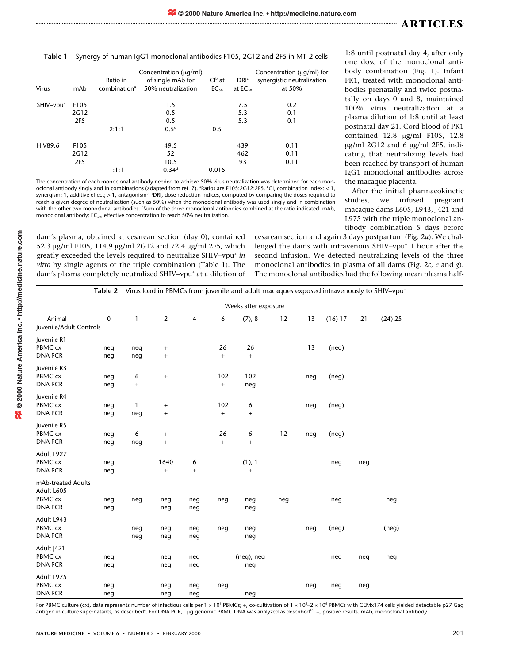| Table 1 Synergy of human IgG1 monoclonal antibodies F105, 2G12 and 2F5 in MT-2 cells |  |  |
|--------------------------------------------------------------------------------------|--|--|
|                                                                                      |  |  |

| <b>Virus</b>          | mAb                                         | Ratio in<br>combination <sup>a</sup> | Concentration ( $\mu$ g/ml)<br>of single mAb for<br>50% neutralization | $Clb$ at<br>$EC_{50}$ | DRI <sup>c</sup><br>at $EC_{50}$ | Concentration ( $\mu q/ml$ ) for<br>synergistic neutralization<br>at 50% |
|-----------------------|---------------------------------------------|--------------------------------------|------------------------------------------------------------------------|-----------------------|----------------------------------|--------------------------------------------------------------------------|
| SHIV-vpu <sup>+</sup> | F105<br>2G12<br>2F <sub>5</sub>             | 2:1:1                                | 1.5<br>0.5<br>0.5<br>0.5 <sup>d</sup>                                  | 0.5                   | 7.5<br>5.3<br>5.3                | 0.2<br>0.1<br>0.1                                                        |
| <b>HIV89.6</b>        | F <sub>105</sub><br>2G12<br>2F <sub>5</sub> | 1:1:1                                | 49.5<br>52<br>10.5<br>$0.34^d$                                         | 0.015                 | 439<br>462<br>93                 | 0.11<br>0.11<br>0.11                                                     |

The concentration of each monoclonal antibody needed to achieve 50% virus neutralization was determined for each monoclonal antibody singly and in combinations (adapted from ref. 7). <sup>a</sup>Ratios are F105:2G12:2F5. <sup>b</sup>Cl, combination index: < 1, synergism; 1, additive effect; > 1, antagonism<sup>7</sup>. 'DRI, dose reduction indices, computed by comparing the doses required to reach a given degree of neutralization (such as 50%) when the monoclonal antibody was used singly and in combination with the other two monoclonal antibodies. <sup>a</sup>Sum of the three monoclonal antibodies combined at the ratio indicated. mAb, monoclonal antibody: EC<sub>50</sub>, effective concentration to reach 50% neutralization.

1:8 until postnatal day 4, after only one dose of the monoclonal antibody combination (Fig. 1). Infant PK1, treated with monoclonal antibodies prenatally and twice postnatally on days 0 and 8, maintained 100% virus neutralization at a plasma dilution of 1:8 until at least postnatal day 21. Cord blood of PK1 contained 12.8 µg/ml F105, 12.8 µg/ml 2G12 and 6 µg/ml 2F5, indicating that neutralizing levels had been reached by transport of human IgG1 monoclonal antibodies across the macaque placenta.

After the initial pharmacokinetic studies, we infused pregnant macaque dams L605, L943, J421 and L975 with the triple monoclonal antibody combination 5 days before

dam's plasma, obtained at cesarean section (day 0), contained 52.3 µg/ml F105, 114.9 µg/ml 2G12 and 72.4 µg/ml 2F5, which greatly exceeded the levels required to neutralize SHIV–vpu+ *in vitro* by single agents or the triple combination (Table 1). The dam's plasma completely neutralized SHIV–vpu<sup>+</sup> at a dilution of cesarean section and again 3 days postpartum (Fig. 2*a*). We challenged the dams with intravenous SHIV-vpu<sup>+</sup> 1 hour after the second infusion. We detected neutralizing levels of the three monoclonal antibodies in plasma of all dams (Fig. 2*c*, *e* and *g*). The monoclonal antibodies had the following mean plasma half-

|                         | Virus load in PBMCs from juvenile and adult macaques exposed intravenously to SHIV-vpu <sup>+</sup><br>Table 2 |              |                                  |                |                                  |            |     |     |         |     |         |  |
|-------------------------|----------------------------------------------------------------------------------------------------------------|--------------|----------------------------------|----------------|----------------------------------|------------|-----|-----|---------|-----|---------|--|
| Weeks after exposure    |                                                                                                                |              |                                  |                |                                  |            |     |     |         |     |         |  |
| Animal                  | $\mathbf 0$                                                                                                    | $\mathbf{1}$ | $\overline{2}$                   | $\overline{4}$ | 6                                | (7), 8     | 12  | 13  | (16) 17 | 21  | (24) 25 |  |
| Juvenile/Adult Controls |                                                                                                                |              |                                  |                |                                  |            |     |     |         |     |         |  |
| Juvenile R1             |                                                                                                                |              |                                  |                |                                  |            |     |     |         |     |         |  |
| PBMC cx                 | neg                                                                                                            | neg          | $\ddot{}$                        |                | 26                               | 26         |     | 13  | (neq)   |     |         |  |
| <b>DNA PCR</b>          | neg                                                                                                            | neg          | $^{+}$                           |                | $\begin{array}{c} + \end{array}$ | $\ddot{}$  |     |     |         |     |         |  |
| Juvenile R3             |                                                                                                                |              |                                  |                |                                  |            |     |     |         |     |         |  |
| PBMC cx                 | neg                                                                                                            | 6            | $\begin{array}{c} + \end{array}$ |                | 102                              | 102        |     | neg | (neg)   |     |         |  |
| <b>DNA PCR</b>          | neg                                                                                                            | $\, +$       |                                  |                | $\begin{array}{c} + \end{array}$ | neg        |     |     |         |     |         |  |
| Juvenile R4             |                                                                                                                |              |                                  |                |                                  |            |     |     |         |     |         |  |
| PBMC cx                 | neg                                                                                                            | 1            | $\ddot{}$                        |                | 102                              | 6          |     | neg | (neg)   |     |         |  |
| <b>DNA PCR</b>          | neg                                                                                                            | neg          | $\ddot{}$                        |                | $^{+}$                           | $\ddot{}$  |     |     |         |     |         |  |
| Juvenile R5             |                                                                                                                |              |                                  |                |                                  |            |     |     |         |     |         |  |
| PBMC cx                 | neg                                                                                                            | 6            | $\ddot{}$                        |                | 26                               | 6          | 12  | neg | (neq)   |     |         |  |
| <b>DNA PCR</b>          | neg                                                                                                            | neg          | $\begin{array}{c} + \end{array}$ |                | $\begin{array}{c} + \end{array}$ | $\ddot{}$  |     |     |         |     |         |  |
| Adult L927              |                                                                                                                |              |                                  |                |                                  |            |     |     |         |     |         |  |
| PBMC cx                 | neg                                                                                                            |              | 1640                             | 6              |                                  | (1), 1     |     |     | neg     | neg |         |  |
| <b>DNA PCR</b>          | neg                                                                                                            |              | $+$                              | $\ddot{}$      |                                  | $\ddot{}$  |     |     |         |     |         |  |
| mAb-treated Adults      |                                                                                                                |              |                                  |                |                                  |            |     |     |         |     |         |  |
| Adult L605              |                                                                                                                |              |                                  |                |                                  |            |     |     |         |     |         |  |
| PBMC cx                 | neg                                                                                                            | neg          | neg                              | neg            | neg                              | neg        | neg |     | neg     |     | neg     |  |
| <b>DNA PCR</b>          | neg                                                                                                            |              | neg                              | neg            |                                  | neg        |     |     |         |     |         |  |
| Adult L943              |                                                                                                                |              |                                  |                |                                  |            |     |     |         |     |         |  |
| PBMC cx                 |                                                                                                                | neg          | neg                              | neg            | neg                              | neg        |     | neg | (neg)   |     | (neg)   |  |
| <b>DNA PCR</b>          |                                                                                                                | neg          | neg                              | neg            |                                  | neg        |     |     |         |     |         |  |
| Adult  421              |                                                                                                                |              |                                  |                |                                  |            |     |     |         |     |         |  |
| PBMC cx                 | neg                                                                                                            |              | neg                              | neg            |                                  | (neg), neg |     |     | neg     | neg | neg     |  |
| <b>DNA PCR</b>          | neg                                                                                                            |              | neg                              | neg            |                                  | neg        |     |     |         |     |         |  |
| Adult L975              |                                                                                                                |              |                                  |                |                                  |            |     |     |         |     |         |  |
| PBMC cx                 | neg                                                                                                            |              | neg                              | neg            | neg                              |            |     | neg | neg     | neg |         |  |
| <b>DNA PCR</b>          | neg                                                                                                            |              | neg                              | neg            |                                  | neg        |     |     |         |     |         |  |

For PBMC culture (cx), data represents number of infectious cells per 1 × 10<sup>6</sup> PBMCs; +, co-cultivation of 1 × 10<sup>6</sup>–2 × 10<sup>6</sup> PBMCs with CEMx174 cells yielded detectable p27 Gag antigen in culture supernatants, as described<sup>4</sup>. For DNA PCR,1 µg genomic PBMC DNA was analyzed as described<sup>16</sup>; +, positive results. mAb, monoclonal antibody.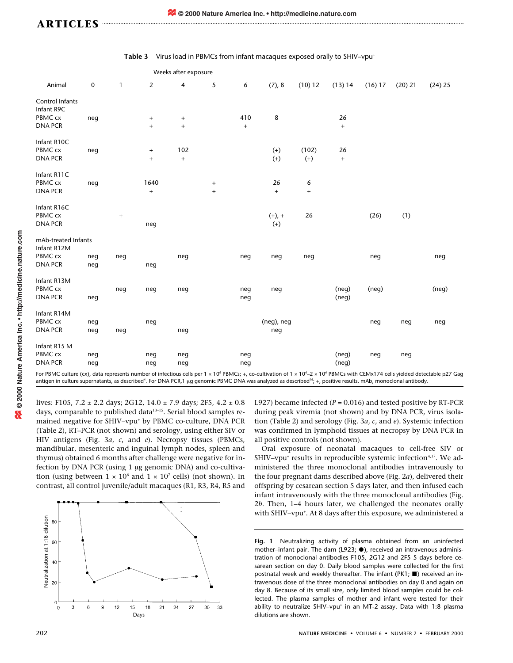| Virus load in PBMCs from infant macaques exposed orally to SHIV-vpu <sup>+</sup><br>Table 3                                                                                                                                                          |          |     |                   |                                  |           |                                  |            |           |                                  |         |           |           |
|------------------------------------------------------------------------------------------------------------------------------------------------------------------------------------------------------------------------------------------------------|----------|-----|-------------------|----------------------------------|-----------|----------------------------------|------------|-----------|----------------------------------|---------|-----------|-----------|
| Weeks after exposure                                                                                                                                                                                                                                 |          |     |                   |                                  |           |                                  |            |           |                                  |         |           |           |
| Animal                                                                                                                                                                                                                                               | $\bf{0}$ | 1   | $\overline{2}$    | 4                                | 5         | 6                                | (7), 8     | (10) 12   | (13) 14                          | (16) 17 | $(20)$ 21 | $(24)$ 25 |
| Control Infants                                                                                                                                                                                                                                      |          |     |                   |                                  |           |                                  |            |           |                                  |         |           |           |
| Infant R9C                                                                                                                                                                                                                                           |          |     |                   |                                  |           |                                  |            |           |                                  |         |           |           |
| PBMC cx                                                                                                                                                                                                                                              | neg      |     | $^{+}$            | $\begin{array}{c} + \end{array}$ |           | 410                              | 8          |           | 26                               |         |           |           |
| <b>DNA PCR</b>                                                                                                                                                                                                                                       |          |     | $\ddot{}$         | $+$                              |           | $\begin{array}{c} + \end{array}$ |            |           | $\ddot{}$                        |         |           |           |
| Infant R10C                                                                                                                                                                                                                                          |          |     |                   |                                  |           |                                  |            |           |                                  |         |           |           |
| PBMC cx                                                                                                                                                                                                                                              | neg      |     | $\qquad \qquad +$ | 102                              |           |                                  | $(+)$      | (102)     | 26                               |         |           |           |
| <b>DNA PCR</b>                                                                                                                                                                                                                                       |          |     | $\ddot{}$         | $\qquad \qquad +$                |           |                                  | $(+)$      | $(+)$     | $\begin{array}{c} + \end{array}$ |         |           |           |
| Infant R11C                                                                                                                                                                                                                                          |          |     |                   |                                  |           |                                  |            |           |                                  |         |           |           |
| PBMC cx                                                                                                                                                                                                                                              | neg      |     | 1640              |                                  | $\ddot{}$ |                                  | 26         | 6         |                                  |         |           |           |
| <b>DNA PCR</b>                                                                                                                                                                                                                                       |          |     | $\ddot{}$         |                                  | $\ddot{}$ |                                  | $\ddot{}$  | $\ddot{}$ |                                  |         |           |           |
| Infant R16C                                                                                                                                                                                                                                          |          |     |                   |                                  |           |                                  |            |           |                                  |         |           |           |
| PBMC cx                                                                                                                                                                                                                                              |          | $+$ |                   |                                  |           |                                  | $(+), +$   | 26        |                                  | (26)    | (1)       |           |
| <b>DNA PCR</b>                                                                                                                                                                                                                                       |          |     | neg               |                                  |           |                                  | $(+)$      |           |                                  |         |           |           |
| mAb-treated Infants                                                                                                                                                                                                                                  |          |     |                   |                                  |           |                                  |            |           |                                  |         |           |           |
| Infant R12M                                                                                                                                                                                                                                          |          |     |                   |                                  |           |                                  |            |           |                                  |         |           |           |
| PBMC cx                                                                                                                                                                                                                                              | neg      | neg |                   | neg                              |           | neg                              | neg        | neg       |                                  | neg     |           | neg       |
| <b>DNA PCR</b>                                                                                                                                                                                                                                       | neg      |     | neg               |                                  |           |                                  |            |           |                                  |         |           |           |
| Infant R13M                                                                                                                                                                                                                                          |          |     |                   |                                  |           |                                  |            |           |                                  |         |           |           |
| PBMC cx                                                                                                                                                                                                                                              |          | neg | neg               | neg                              |           | neg                              | neg        |           | (neg)                            | (neg)   |           | (neg)     |
| <b>DNA PCR</b>                                                                                                                                                                                                                                       | neg      |     |                   |                                  |           | neg                              |            |           | (neq)                            |         |           |           |
|                                                                                                                                                                                                                                                      |          |     |                   |                                  |           |                                  |            |           |                                  |         |           |           |
| Infant R14M                                                                                                                                                                                                                                          |          |     |                   |                                  |           |                                  |            |           |                                  |         |           |           |
| PBMC cx                                                                                                                                                                                                                                              | neg      |     | neg               |                                  |           |                                  | (neg), neg |           |                                  | neg     | neg       | neg       |
| <b>DNA PCR</b>                                                                                                                                                                                                                                       | neg      | neg |                   | neg                              |           |                                  | neg        |           |                                  |         |           |           |
| Infant R15 M                                                                                                                                                                                                                                         |          |     |                   |                                  |           |                                  |            |           |                                  |         |           |           |
| PBMC cx                                                                                                                                                                                                                                              | neg      |     | neg               | neg                              |           | neg                              |            |           | (neg)                            | neg     | neg       |           |
| <b>DNA PCR</b>                                                                                                                                                                                                                                       | neg      |     | neg               | neg                              |           | neg                              |            |           | (neq)                            |         |           |           |
| $\frac{1}{2}$ Cor DDMC culture (cy), data represents pumper of infectious cells per 1 $\times$ 10 <sup>6</sup> DDMCs $\pm$ co-sultivation of 1 $\times$ 10 <sup>6</sup> 2 $\times$ 10 <sup>6</sup> DDMCs with CEMy174 cells violded detectable p27 C |          |     |                   |                                  |           |                                  |            |           |                                  |         |           |           |

For PBMC culture (cx), data represents number of infectious cells per 1 × 10<sup>6</sup> PBMCs; +, co-cultivation of 1 × 10<sup>6</sup>–2 × 10<sup>6</sup> PBMCs with CEMx174 cells yielded detectable p27 Gag<br>antigen in culture supernatants, as descr

lives: F105, 7.2  $\pm$  2.2 days; 2G12, 14.0  $\pm$  7.9 days; 2F5, 4.2  $\pm$  0.8 days, comparable to published data<sup>13-15</sup>. Serial blood samples remained negative for SHIV–vpu+ by PBMC co-culture, DNA PCR (Table 2), RT–PCR (not shown) and serology, using either SIV or HIV antigens (Fig. 3*a*, *c*, and *e*). Necropsy tissues (PBMCs, mandibular, mesenteric and inguinal lymph nodes, spleen and thymus) obtained 6 months after challenge were negative for infection by DNA PCR (using 1 µg genomic DNA) and co-cultivation (using between  $1 \times 10^6$  and  $1 \times 10^7$  cells) (not shown). In contrast, all control juvenile/adult macaques (R1, R3, R4, R5 and



L927) became infected  $(P = 0.016)$  and tested positive by RT-PCR during peak viremia (not shown) and by DNA PCR, virus isolation (Table 2) and serology (Fig. 3*a*, *c*, and *e*). Systemic infection was confirmed in lymphoid tissues at necropsy by DNA PCR in all positive controls (not shown).

Oral exposure of neonatal macaques to cell-free SIV or SHIV–vpu<sup>+</sup> results in reproducible systemic infection<sup>4,17</sup>. We administered the three monoclonal antibodies intravenously to the four pregnant dams described above (Fig. 2*a*), delivered their offspring by cesarean section 5 days later, and then infused each infant intravenously with the three monoclonal antibodies (Fig. 2*b*. Then, 1–4 hours later, we challenged the neonates orally with SHIV–vpu+ . At 8 days after this exposure, we administered a

**Fig. 1** Neutralizing activity of plasma obtained from an uninfected mother–infant pair. The dam (L923;  $\bullet$ ), received an intravenous administration of monoclonal antibodies F105, 2G12 and 2F5 5 days before cesarean section on day 0. Daily blood samples were collected for the first postnatal week and weekly thereafter. The infant (PK1;  $\blacksquare$ ) received an intravenous dose of the three monoclonal antibodies on day 0 and again on day 8. Because of its small size, only limited blood samples could be collected. The plasma samples of mother and infant were tested for their ability to neutralize SHIV-vpu<sup>+</sup> in an MT-2 assay. Data with 1:8 plasma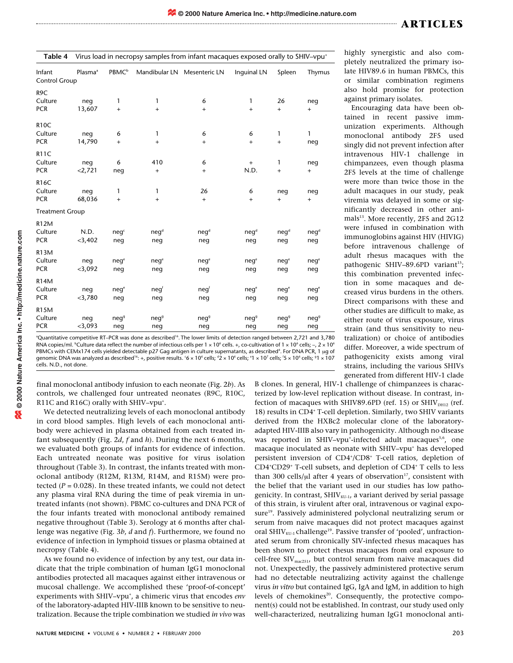| Table 4                 |                     | Virus load in necropsy samples from infant macaques exposed orally to SHIV-vpu <sup>+</sup> |                  |                             |                                  |                                  |                                  |  |  |  |  |  |
|-------------------------|---------------------|---------------------------------------------------------------------------------------------|------------------|-----------------------------|----------------------------------|----------------------------------|----------------------------------|--|--|--|--|--|
| Infant<br>Control Group | Plasma <sup>ª</sup> | <b>PBMC</b> <sup>b</sup>                                                                    |                  | Mandibular LN Mesenteric LN | Inquinal LN                      | Spleen                           | Thymus                           |  |  |  |  |  |
| R9C                     |                     |                                                                                             |                  |                             |                                  |                                  |                                  |  |  |  |  |  |
| Culture                 | neg                 | 1                                                                                           | 1                | 6                           | 1                                | 26                               | neg                              |  |  |  |  |  |
| <b>PCR</b>              | 13,607              | $\ddot{}$                                                                                   | $\ddot{}$        | $\ddot{}$                   | $\ddot{}$                        | $\ddot{}$                        | $\begin{array}{c} + \end{array}$ |  |  |  |  |  |
| <b>R10C</b>             |                     |                                                                                             |                  |                             |                                  |                                  |                                  |  |  |  |  |  |
| Culture                 | neg                 | 6                                                                                           | 1                | 6                           | 6                                | $\mathbf{1}$                     | $\mathbf{1}$                     |  |  |  |  |  |
| <b>PCR</b>              | 14,790              | $\ddot{}$                                                                                   | $\ddot{}$        | $^{+}$                      | $\begin{array}{c} + \end{array}$ | $\begin{array}{c} + \end{array}$ | neg                              |  |  |  |  |  |
| <b>R11C</b>             |                     |                                                                                             |                  |                             |                                  |                                  |                                  |  |  |  |  |  |
| Culture                 | neg                 | 6                                                                                           | 410              | 6                           | $\ddot{}$                        | $\mathbf{1}$                     | neg                              |  |  |  |  |  |
| <b>PCR</b>              | 2,721               | neg                                                                                         | $^{+}$           | $^{+}$                      | N.D.                             | $\ddot{}$                        | $\begin{array}{c} + \end{array}$ |  |  |  |  |  |
| <b>R16C</b>             |                     |                                                                                             |                  |                             |                                  |                                  |                                  |  |  |  |  |  |
| Culture                 | neg                 | 1                                                                                           | 1                | 26                          | 6                                | neg                              | neg                              |  |  |  |  |  |
| <b>PCR</b>              | 68,036              | $\ddot{}$                                                                                   | $\ddot{}$        | $\ddot{}$                   | $+$                              | $\ddot{}$                        | $+$                              |  |  |  |  |  |
| <b>Treatment Group</b>  |                     |                                                                                             |                  |                             |                                  |                                  |                                  |  |  |  |  |  |
| <b>R12M</b>             |                     |                                                                                             |                  |                             |                                  |                                  |                                  |  |  |  |  |  |
| Culture                 | N.D.                | neq <sup>c</sup>                                                                            | $neq^d$          | $neq^d$                     | neq <sup>d</sup>                 | $neq^d$                          | $neq^d$                          |  |  |  |  |  |
| <b>PCR</b>              | $<$ 3,402           | neg                                                                                         | neg              | neg                         | neg                              | neg                              | neg                              |  |  |  |  |  |
| <b>R13M</b>             |                     |                                                                                             |                  |                             |                                  |                                  |                                  |  |  |  |  |  |
| Culture                 | neg                 | neq <sup>e</sup>                                                                            | neq <sup>e</sup> | neq <sup>e</sup>            | neq <sup>e</sup>                 | neq <sup>e</sup>                 | neq <sup>e</sup>                 |  |  |  |  |  |
| <b>PCR</b>              | $<$ 3,092           | neg                                                                                         | neg              | neg                         | neg                              | neg                              | neg                              |  |  |  |  |  |
| <b>R14M</b>             |                     |                                                                                             |                  |                             |                                  |                                  |                                  |  |  |  |  |  |
| Culture                 | neg                 | neq <sup>e</sup>                                                                            | neg <sup>f</sup> | negf                        | neq <sup>e</sup>                 | neq <sup>e</sup>                 | neq <sup>e</sup>                 |  |  |  |  |  |
| <b>PCR</b>              | $<$ 3,780           | neg                                                                                         | neg              | neg                         | neg                              | neg                              | neg                              |  |  |  |  |  |
|                         |                     |                                                                                             |                  |                             |                                  |                                  |                                  |  |  |  |  |  |
| <b>R15M</b><br>Culture  |                     |                                                                                             |                  |                             |                                  |                                  |                                  |  |  |  |  |  |
| <b>PCR</b>              | neg<br>$<$ 3,093    | neq <sup>9</sup>                                                                            | neq <sup>9</sup> | neq <sup>9</sup>            | neq <sup>9</sup>                 | neg <sup>9</sup>                 | neq <sup>9</sup>                 |  |  |  |  |  |
|                         |                     | neg                                                                                         | neg              | neg                         | neg                              | neg                              | neg                              |  |  |  |  |  |

<sup>a</sup>Quantitative competitive RT–PCR was done as described<sup>16</sup>. The lower limits of detection ranged between 2,721 and 3,780 RNA copies/ml.  $^{\rm b}$ Culture data reflect the number of infectious cells per 1 × 10 $^{\rm 6}$  cells. +, co-cultivation of 1 × 10 $^{\rm 6}$  cells; –, 2 × 10 $^{\rm 6}$ PBMCs with CEMx174 cells yielded detectable p27 Gag antigen in culture supernatants, as described<sup>4</sup>. For DNA PCR, 1  $\mu$ g of genomic DNA was analyzed as described'' $:$  +, positive results. '6 × 10 $^{\rm 6}$  cells; ' $^{\rm 42}$  × 10 $^{\rm 6}$  cells; '8 × 10 $^{\rm 7}$  cells; '5 × 10 $^{\rm 6}$  cells; '91 × 107 cells. N.D., not done.

final monoclonal antibody infusion to each neonate (Fig. 2*b*). As controls, we challenged four untreated neonates (R9C, R10C, R11C and R16C) orally with SHIV-vpu<sup>+</sup>.

We detected neutralizing levels of each monoclonal antibody in cord blood samples. High levels of each monoclonal antibody were achieved in plasma obtained from each treated infant subsequently (Fig. 2*d*, *f* and *h*). During the next 6 months, we evaluated both groups of infants for evidence of infection. Each untreated neonate was positive for virus isolation throughout (Table 3). In contrast, the infants treated with monoclonal antibody (R12M, R13M, R14M, and R15M) were protected  $(P = 0.028)$ . In these treated infants, we could not detect any plasma viral RNA during the time of peak viremia in untreated infants (not shown). PBMC co-cultures and DNA PCR of the four infants treated with monoclonal antibody remained negative throughout (Table 3). Serology at 6 months after challenge was negative (Fig. 3*b*, *d* and *f*). Furthermore, we found no evidence of infection in lymphoid tissues or plasma obtained at necropsy (Table 4).

As we found no evidence of infection by any test, our data indicate that the triple combination of human IgG1 monoclonal antibodies protected all macaques against either intravenous or mucosal challenge. We accomplished these 'proof-of-concept' experiments with SHIV-vpu<sup>+</sup>, a chimeric virus that encodes env of the laboratory-adapted HIV-IIIB known to be sensitive to neutralization. Because the triple combination we studied *in vivo* was highly synergistic and also completely neutralized the primary isolate HIV89.6 in human PBMCs, this or similar combination regimens also hold promise for protection against primary isolates.

Encouraging data have been obtained in recent passive immunization experiments. Although monoclonal antibody 2F5 used singly did not prevent infection after intravenous HIV-1 challenge in chimpanzees, even though plasma 2F5 levels at the time of challenge were more than twice those in the adult macaques in our study, peak viremia was delayed in some or significantly decreased in other animals<sup>13</sup>. More recently, 2F5 and 2G12 were infused in combination with immunoglobins against HIV (HIVIG) before intravenous challenge of adult rhesus macaques with the pathogenic SHIV–89.6PD variant<sup>15</sup>; this combination prevented infection in some macaques and decreased virus burdens in the others. Direct comparisons with these and other studies are difficult to make, as either route of virus exposure, virus strain (and thus sensitivity to neutralization) or choice of antibodies differ. Moreover, a wide spectrum of pathogenicity exists among viral strains, including the various SHIVs generated from different HIV-1 clade

B clones. In general, HIV-1 challenge of chimpanzees is characterized by low-level replication without disease. In contrast, infection of macaques with SHIV89.6PD (ref. 15) or SHIV $_{DH12}$  (ref. 18) results in CD4+ T-cell depletion. Similarly, two SHIV variants derived from the HXBc2 molecular clone of the laboratoryadapted HIV-IIIB also vary in pathogenicity. Although no disease was reported in SHIV-vpu<sup>+</sup>-infected adult macaques<sup>5,6</sup>, one macaque inoculated as neonate with SHIV–vpu<sup>+</sup> has developed persistent inversion of CD4<sup>+</sup>/CD8<sup>+</sup> T-cell ratios, depletion of CD4+ CD29+ T-cell subsets, and depletion of CD4+ T cells to less than 300 cells/ $\mu$ l after 4 years of observation<sup>17</sup>, consistent with the belief that the variant used in our studies has low pathogenicity. In contrast,  $SHIV_{KU-1}$ , a variant derived by serial passage of this strain, is virulent after oral, intravenous or vaginal exposure<sup>19</sup>. Passively administered polyclonal neutralizing serum or serum from naive macaques did not protect macaques against oral SHIV $_{\text{KU-1}}$  challenge<sup>19</sup>. Passive transfer of 'pooled', unfractionated serum from chronically SIV-infected rhesus macaques has been shown to protect rhesus macaques from oral exposure to cell-free  $\text{SIV}_{\text{max251}}$ , but control serum from naive macaques did not. Unexpectedly, the passively administered protective serum had no detectable neutralizing activity against the challenge virus *in vitro* but contained IgG, IgA and IgM, in addition to high levels of chemokines<sup>20</sup>. Consequently, the protective component(s) could not be established. In contrast, our study used only well-characterized, neutralizing human IgG1 monoclonal anti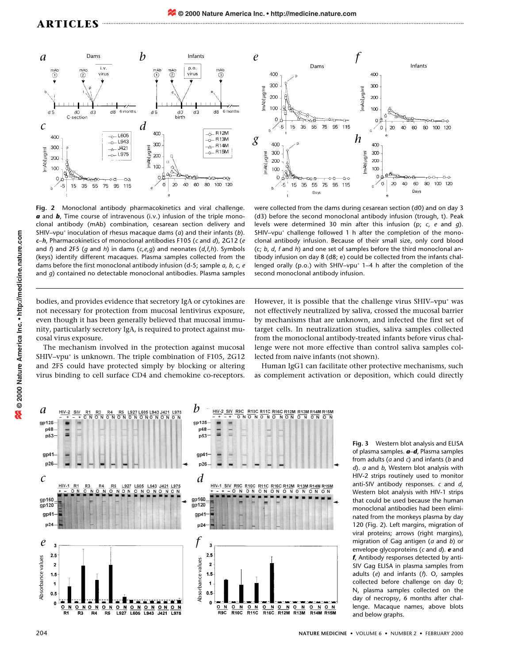

**Fig. 2** Monoclonal antibody pharmacokinetics and viral challenge. *a* and *b*, Time course of intravenous (i.v.) infusion of the triple monoclonal antibody (mAb) combination, cesarean section delivery and SHIV–vpu+ inoculation of rhesus macaque dams (*a*) and their infants (*b*). *c*–*h*, Pharmacokinetics of monoclonal antibodies F105 (*c* and *d*), 2G12 (*e* and *f*) and 2F5 (*g* and *h*) in dams (*c*,*e*,*g*) and neonates (*d*,*f*,*h*). Symbols (keys) identify different macaques. Plasma samples collected from the dams before the first monoclonal antibody infusion (d-5; sample *a, b, c, e* and *g*) contained no detectable monoclonal antibodies. Plasma samples



were collected from the dams during cesarean section (d0) and on day 3 (d3) before the second monoclonal antibody infusion (trough, t). Peak levels were determined 30 min after this infusion (p; *c, e* and *g*). SHIV-vpu<sup>+</sup> challenge followed 1 h after the completion of the monoclonal antibody infusion. Because of their small size, only cord blood (c; *b*, *d*, *f* and *h*) and one set of samples before the third monoclonal antibody infusion on day 8 (d8; e) could be collected from the infants challenged orally (p.o.) with SHIV–vpu<sup>+</sup>  $1-4$  h after the completion of the second monoclonal antibody infusion.

bodies, and provides evidence that secretory IgA or cytokines are not necessary for protection from mucosal lentivirus exposure, even though it has been generally believed that mucosal immunity, particularly secretory IgA, is required to protect against mucosal virus exposure.

The mechanism involved in the protection against mucosal SHIV-vpu<sup>+</sup> is unknown. The triple combination of F105, 2G12 and 2F5 could have protected simply by blocking or altering virus binding to cell surface CD4 and chemokine co-receptors.

However, it is possible that the challenge virus SHIV-vpu<sup>+</sup> was not effectively neutralized by saliva, crossed the mucosal barrier by mechanisms that are unknown, and infected the first set of target cells. In neutralization studies, saliva samples collected from the monoclonal antibody-treated infants before virus challenge were not more effective than control saliva samples collected from naive infants (not shown).

Human IgG1 can facilitate other protective mechanisms, such as complement activation or deposition, which could directly



**Fig. 3** Western blot analysis and ELISA of plasma samples. *a*–*d*, Plasma samples from adults (*a* and *c*) and infants (*b* and *d*). *a* and *b*, Western blot analysis with HIV-2 strips routinely used to monitor anti-SIV antibody responses. *c* and *d*, Western blot analysis with HIV-1 strips that could be used because the human monoclonal antibodies had been eliminated from the monkeys plasma by day 120 (Fig. 2). Left margins, migration of viral proteins; arrows (right margins), migration of Gag antigen (*a* and *b*) or envelope glycoproteins (*c* and *d*). *e* and *f*, Antibody responses detected by anti-SIV Gag ELISA in plasma samples from adults (*e*) and infants (*f*). O, samples collected before challenge on day 0; N, plasma samples collected on the day of necropsy, 6 months after challenge. Macaque names, above blots and below graphs.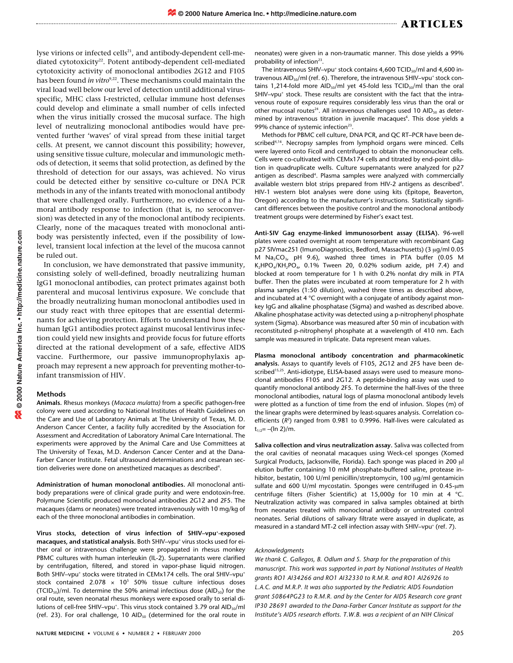lyse virions or infected cells<sup>21</sup>, and antibody-dependent cell-mediated cytotoxicity<sup>22</sup>. Potent antibody-dependent cell-mediated cytotoxicity activity of monoclonal antibodies 2G12 and F105 has been found *in vitro*<sup>9,22</sup>. These mechanisms could maintain the viral load well below our level of detection until additional virusspecific, MHC class I-restricted, cellular immune host defenses could develop and eliminate a small number of cells infected when the virus initially crossed the mucosal surface. The high level of neutralizing monoclonal antibodies would have prevented further 'waves' of viral spread from these initial target cells. At present, we cannot discount this possibility; however, using sensitive tissue culture, molecular and immunologic methods of detection, it seems that solid protection, as defined by the threshold of detection for our assays, was achieved. No virus could be detected either by sensitive co-culture or DNA PCR methods in any of the infants treated with monoclonal antibody that were challenged orally. Furthermore, no evidence of a humoral antibody response to infection (that is, no seroconversion) was detected in any of the monoclonal antibody recipients. Clearly, none of the macaques treated with monoclonal antibody was persistently infected, even if the possibility of lowlevel, transient local infection at the level of the mucosa cannot be ruled out.

In conclusion, we have demonstrated that passive immunity, consisting solely of well-defined, broadly neutralizing human IgG1 monoclonal antibodies, can protect primates against both parenteral and mucosal lentivirus exposure. We conclude that the broadly neutralizing human monoclonal antibodies used in our study react with three epitopes that are essential determinants for achieving protection. Efforts to understand how these human IgG1 antibodies protect against mucosal lentivirus infection could yield new insights and provide focus for future efforts directed at the rational development of a safe, effective AIDS vaccine. Furthermore, our passive immunoprophylaxis approach may represent a new approach for preventing mother-toinfant transmission of HIV.

## **Methods**

**Animals.** Rhesus monkeys (*Macaca mulatta)* from a specific pathogen-free colony were used according to National Institutes of Health Guidelines on the Care and Use of Laboratory Animals at The University of Texas, M. D. Anderson Cancer Center, a facility fully accredited by the Association for Assessment and Accreditation of Laboratory Animal Care International. The experiments were approved by the Animal Care and Use Committees at The University of Texas, M.D. Anderson Cancer Center and at the Dana-Farber Cancer Institute. Fetal ultrasound determinations and cesarean section deliveries were done on anesthetized macaques as described<sup>4</sup>.

**Administration of human monoclonal antibodies.** All monoclonal antibody preparations were of clinical grade purity and were endotoxin-free. Polymune Scientific produced monoclonal antibodies 2G12 and 2F5. The macaques (dams or neonates) were treated intravenously with 10 mg/kg of each of the three monoclonal antibodies in combination.

**Virus stocks, detection of virus infection of SHIV–vpu+ -exposed** macaques, and statistical analysis. Both SHIV-vpu<sup>+</sup> virus stocks used for either oral or intravenous challenge were propagated in rhesus monkey PBMC cultures with human interleukin (IL-2). Supernatants were clarified by centrifugation, filtered, and stored in vapor-phase liquid nitrogen. Both SHIV-vpu<sup>+</sup> stocks were titrated in CEMx174 cells. The oral SHIV-vpu<sup>+</sup> stock contained 2.078  $\times$  10<sup>5</sup> 50% tissue culture infectious doses (TCID<sub>50</sub>)/ml. To determine the 50% animal infectious dose (AID<sub>50</sub>) for the oral route, seven neonatal rhesus monkeys were exposed orally to serial dilutions of cell-free SHIV-vpu<sup>+</sup>. This virus stock contained 3.79 oral AID<sub>50</sub>/ml (ref. 23). For oral challenge, 10 AID $_{50}$  (determined for the oral route in neonates) were given in a non-traumatic manner. This dose yields a 99% probability of infection $23$ .

The intravenous SHIV-vpu<sup>+</sup> stock contains 4,600 TCID<sub>50</sub>/ml and 4,600 intravenous AID<sub>50</sub>/ml (ref. 6). Therefore, the intravenous SHIV-vpu<sup>+</sup> stock contains 1,214-fold more AID<sub>50</sub>/ml yet 45-fold less TCID<sub>50</sub>/ml than the oral SHIV-vpu<sup>+</sup> stock. These results are consistent with the fact that the intravenous route of exposure requires considerably less virus than the oral or other mucosal routes<sup>24</sup>. All intravenous challenges used 10 AID<sub>50</sub> as determined by intravenous titration in juvenile macaques<sup>6</sup>. This dose yields a 99% chance of systemic infection<sup>23</sup>.

Methods for PBMC cell culture, DNA PCR, and QC RT–PCR have been described<sup>4,16</sup>. Necropsy samples from lymphoid organs were minced. Cells were layered onto Ficoll and centrifuged to obtain the mononuclear cells. Cells were co-cultivated with CEMx174 cells and titrated by end-point dilution in quadruplicate wells. Culture supernatants were analyzed for p27 antigen as described<sup>4</sup>. Plasma samples were analyzed with commercially available western blot strips prepared from HIV-2 antigens as described<sup>4</sup>. HIV-1 western blot analyses were done using kits (Epitope, Beaverton, Oregon) according to the manufacturer's instructions. Statistically significant differences between the positive control and the monoclonal antibody treatment groups were determined by Fisher's exact test.

**Anti-SIV Gag enzyme-linked immunosorbent assay (ELISA).** 96-well plates were coated overnight at room temperature with recombinant Gag p27 SIVmac251 (ImunoDiagnostics, Bedford, Massachusetts) (3 µg/ml 0.05 M  $Na<sub>2</sub>CO<sub>3</sub>$ , pH 9.6), washed three times in PTA buffer (0.05 M K<sub>2</sub>HPO<sub>4</sub>/KH<sub>2</sub>PO<sub>4</sub>, 0.1% Tween 20, 0.02% sodium azide, pH 7.4) and blocked at room temperature for 1 h with 0.2% nonfat dry milk in PTA buffer. Then the plates were incubated at room temperature for 2 h with plasma samples (1:50 dilution), washed three times as described above, and incubated at 4 °C overnight with a conjugate of antibody against monkey IgG and alkaline phosphatase (Sigma) and washed as described above. Alkaline phosphatase activity was detected using a p-nitrophenyl phosphate system (Sigma). Absorbance was measured after 50 min of incubation with reconstituted p-nitrophenyl phosphate at a wavelength of 410 nm. Each sample was measured in triplicate. Data represent mean values.

**Plasma monoclonal antibody concentration and pharmacokinetic analysis.** Assays to quantify levels of F105, 2G12 and 2F5 have been described<sup>15,25</sup>. Anti-idiotype, ELISA-based assays were used to measure monoclonal antibodies F105 and 2G12. A peptide-binding assay was used to quantify monoclonal antibody 2F5. To determine the half-lives of the three monoclonal antibodies, natural logs of plasma monoclonal antibody levels were plotted as a function of time from the end of infusion. Slopes (m) of the linear graphs were determined by least-squares analysis. Correlation coefficients (R<sup>2</sup>) ranged from 0.981 to 0.9996. Half-lives were calculated as  $t_{1/2}$ = –(ln 2)/m.

**Saliva collection and virus neutralization assay.** Saliva was collected from the oral cavities of neonatal macaques using Weck-cel sponges (Xomed Surgical Products, Jacksonville, Florida). Each sponge was placed in 200 µl elution buffer containing 10 mM phosphate-buffered saline, protease inhibitor, bestatin, 100 U/ml penicillin/streptomycin, 100 µg/ml gentamicin sulfate and 600 U/ml mycostatin. Sponges were centrifuged in 0.45-µm centrifuge filters (Fisher Scientific) at 15,000*g* for 10 min at 4 °C. Neutralization activity was compared in saliva samples obtained at birth from neonates treated with monoclonal antibody or untreated control neonates. Serial dilutions of salivary filtrate were assayed in duplicate, as measured in a standard MT-2 cell infection assay with SHIV-vpu<sup>+</sup> (ref. 7).

## *Acknowledgments*

*We thank C. Gallegos, B. Odlum and S. Sharp for the preparation of this manuscript. This work was supported in part by National Institutes of Health grants RO1 AI34266 and RO1 AI32330 to R.M.R. and RO1 AI26926 to L.A.C. and M.R.P. It was also supported by the Pediatric AIDS Foundation grant 50864PG23 to R.M.R. and by the Center for AIDS Research core grant IP30 28691 awarded to the Dana-Farber Cancer Institute as support for the Institute's AIDS research efforts. T.W.B. was a recipient of an NIH Clinical*